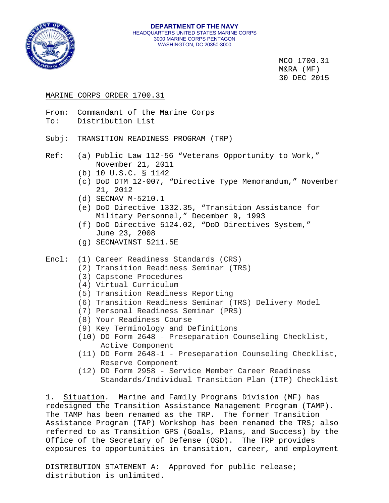

MCO 1700.31 M&RA (MF) 30 DEC 2015

## MARINE CORPS ORDER 1700.31

From: Commandant of the Marine Corps

To: Distribution List

Subj: TRANSITION READINESS PROGRAM (TRP)

- Ref: (a) Public Law 112-56 "Veterans Opportunity to Work," November 21, 2011
	- (b) 10 U.S.C. § 1142
	- (c) DoD DTM 12-007, "Directive Type Memorandum," November 21, 2012
	- (d) SECNAV M-5210.1
	- (e) DoD Directive 1332.35, "Transition Assistance for Military Personnel," December 9, 1993
	- (f) DoD Directive 5124.02, "DoD Directives System," June 23, 2008
	- (g) SECNAVINST 5211.5E
- Encl: (1) Career Readiness Standards (CRS)
	- (2) Transition Readiness Seminar (TRS)
	- (3) Capstone Procedures
	- (4) Virtual Curriculum
	- (5) Transition Readiness Reporting
	- (6) Transition Readiness Seminar (TRS) Delivery Model
	- (7) Personal Readiness Seminar (PRS)
	- (8) Your Readiness Course
	- (9) Key Terminology and Definitions
	- (10) DD Form 2648 Preseparation Counseling Checklist, Active Component
	- (11) DD Form 2648-1 Preseparation Counseling Checklist, Reserve Component
	- (12) DD Form 2958 Service Member Career Readiness Standards/Individual Transition Plan (ITP) Checklist

1. Situation. Marine and Family Programs Division (MF) has redesigned the Transition Assistance Management Program (TAMP). The TAMP has been renamed as the TRP. The former Transition Assistance Program (TAP) Workshop has been renamed the TRS; also referred to as Transition GPS (Goals, Plans, and Success) by the Office of the Secretary of Defense (OSD). The TRP provides exposures to opportunities in transition, career, and employment

DISTRIBUTION STATEMENT A: Approved for public release; distribution is unlimited.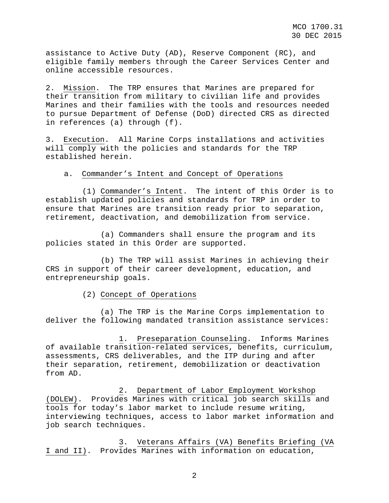assistance to Active Duty (AD), Reserve Component (RC), and eligible family members through the Career Services Center and online accessible resources.

2. Mission. The TRP ensures that Marines are prepared for their transition from military to civilian life and provides Marines and their families with the tools and resources needed to pursue Department of Defense (DoD) directed CRS as directed in references (a) through (f).

3. Execution. All Marine Corps installations and activities will comply with the policies and standards for the TRP established herein.

## a. Commander's Intent and Concept of Operations

(1) Commander's Intent. The intent of this Order is to establish updated policies and standards for TRP in order to ensure that Marines are transition ready prior to separation, retirement, deactivation, and demobilization from service.

(a) Commanders shall ensure the program and its policies stated in this Order are supported.

(b) The TRP will assist Marines in achieving their CRS in support of their career development, education, and entrepreneurship goals.

(2) Concept of Operations

(a) The TRP is the Marine Corps implementation to deliver the following mandated transition assistance services:

1. Preseparation Counseling. Informs Marines of available transition-related services, benefits, curriculum, assessments, CRS deliverables, and the ITP during and after their separation, retirement, demobilization or deactivation from AD.

2. Department of Labor Employment Workshop (DOLEW). Provides Marines with critical job search skills and tools for today's labor market to include resume writing, interviewing techniques, access to labor market information and job search techniques.

3. Veterans Affairs (VA) Benefits Briefing (VA I and II). Provides Marines with information on education,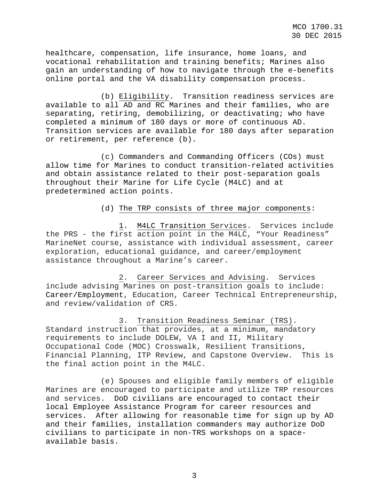healthcare, compensation, life insurance, home loans, and vocational rehabilitation and training benefits; Marines also gain an understanding of how to navigate through the e-benefits online portal and the VA disability compensation process.

(b) Eligibility. Transition readiness services are available to all AD and RC Marines and their families, who are separating, retiring, demobilizing, or deactivating; who have completed a minimum of 180 days or more of continuous AD. Transition services are available for 180 days after separation or retirement, per reference (b).

(c) Commanders and Commanding Officers (COs) must allow time for Marines to conduct transition-related activities and obtain assistance related to their post-separation goals throughout their Marine for Life Cycle (M4LC) and at predetermined action points.

## (d) The TRP consists of three major components:

1. M4LC Transition Services. Services include the PRS - the first action point in the M4LC, "Your Readiness" MarineNet course, assistance with individual assessment, career exploration, educational guidance, and career/employment assistance throughout a Marine's career.

2. Career Services and Advising. Services include advising Marines on post-transition goals to include: Career/Employment, Education, Career Technical Entrepreneurship, and review/validation of CRS.

3. Transition Readiness Seminar (TRS). Standard instruction that provides, at a minimum, mandatory requirements to include DOLEW, VA I and II, Military Occupational Code (MOC) Crosswalk, Resilient Transitions, Financial Planning, ITP Review, and Capstone Overview. This is the final action point in the M4LC.

(e) Spouses and eligible family members of eligible Marines are encouraged to participate and utilize TRP resources and services. DoD civilians are encouraged to contact their local Employee Assistance Program for career resources and services. After allowing for reasonable time for sign up by AD and their families, installation commanders may authorize DoD civilians to participate in non-TRS workshops on a spaceavailable basis.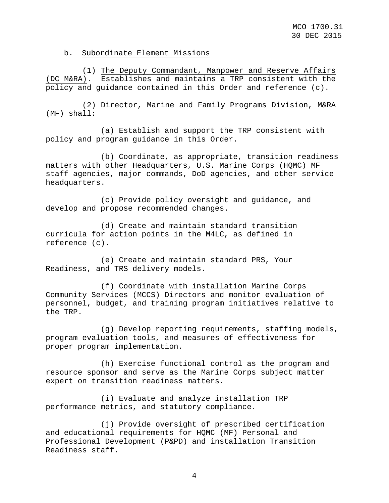b. Subordinate Element Missions

(1) The Deputy Commandant, Manpower and Reserve Affairs (DC M&RA). Establishes and maintains a TRP consistent with the policy and guidance contained in this Order and reference (c).

(2) Director, Marine and Family Programs Division, M&RA (MF) shall:

(a) Establish and support the TRP consistent with policy and program guidance in this Order.

(b) Coordinate, as appropriate, transition readiness matters with other Headquarters, U.S. Marine Corps (HQMC) MF staff agencies, major commands, DoD agencies, and other service headquarters.

(c) Provide policy oversight and guidance, and develop and propose recommended changes.

(d) Create and maintain standard transition curricula for action points in the M4LC, as defined in reference (c).

(e) Create and maintain standard PRS, Your Readiness, and TRS delivery models.

(f) Coordinate with installation Marine Corps Community Services (MCCS) Directors and monitor evaluation of personnel, budget, and training program initiatives relative to the TRP.

(g) Develop reporting requirements, staffing models, program evaluation tools, and measures of effectiveness for proper program implementation.

(h) Exercise functional control as the program and resource sponsor and serve as the Marine Corps subject matter expert on transition readiness matters.

(i) Evaluate and analyze installation TRP performance metrics, and statutory compliance.

(j) Provide oversight of prescribed certification and educational requirements for HQMC (MF) Personal and Professional Development (P&PD) and installation Transition Readiness staff.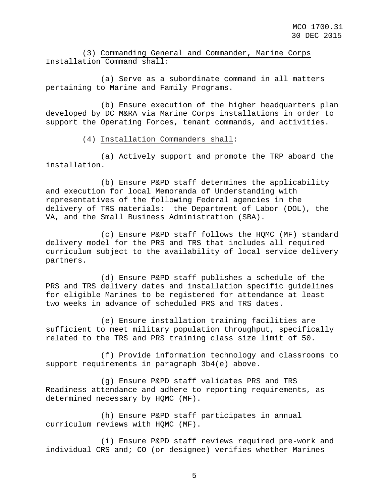# (3) Commanding General and Commander, Marine Corps Installation Command shall:

(a) Serve as a subordinate command in all matters pertaining to Marine and Family Programs.

(b) Ensure execution of the higher headquarters plan developed by DC M&RA via Marine Corps installations in order to support the Operating Forces, tenant commands, and activities.

(4) Installation Commanders shall:

(a) Actively support and promote the TRP aboard the installation.

(b) Ensure P&PD staff determines the applicability and execution for local Memoranda of Understanding with representatives of the following Federal agencies in the delivery of TRS materials: the Department of Labor (DOL), the VA, and the Small Business Administration (SBA).

(c) Ensure P&PD staff follows the HQMC (MF) standard delivery model for the PRS and TRS that includes all required curriculum subject to the availability of local service delivery partners.

(d) Ensure P&PD staff publishes a schedule of the PRS and TRS delivery dates and installation specific guidelines for eligible Marines to be registered for attendance at least two weeks in advance of scheduled PRS and TRS dates.

(e) Ensure installation training facilities are sufficient to meet military population throughput, specifically related to the TRS and PRS training class size limit of 50.

(f) Provide information technology and classrooms to support requirements in paragraph 3b4(e) above.

(g) Ensure P&PD staff validates PRS and TRS Readiness attendance and adhere to reporting requirements, as determined necessary by HQMC (MF).

(h) Ensure P&PD staff participates in annual curriculum reviews with HQMC (MF).

(i) Ensure P&PD staff reviews required pre-work and individual CRS and; CO (or designee) verifies whether Marines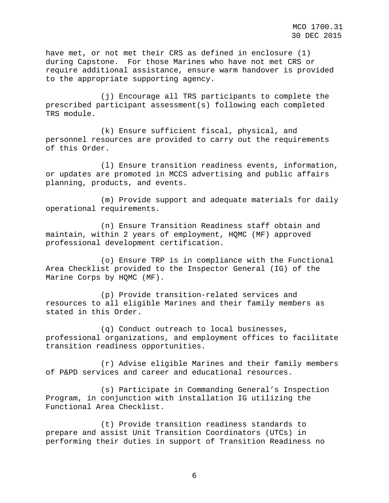have met, or not met their CRS as defined in enclosure (1) during Capstone. For those Marines who have not met CRS or require additional assistance, ensure warm handover is provided to the appropriate supporting agency.

(j) Encourage all TRS participants to complete the prescribed participant assessment(s) following each completed TRS module.

(k) Ensure sufficient fiscal, physical, and personnel resources are provided to carry out the requirements of this Order.

(l) Ensure transition readiness events, information, or updates are promoted in MCCS advertising and public affairs planning, products, and events.

(m) Provide support and adequate materials for daily operational requirements.

(n) Ensure Transition Readiness staff obtain and maintain, within 2 years of employment, HQMC (MF) approved professional development certification.

(o) Ensure TRP is in compliance with the Functional Area Checklist provided to the Inspector General (IG) of the Marine Corps by HQMC (MF).

(p) Provide transition-related services and resources to all eligible Marines and their family members as stated in this Order.

(q) Conduct outreach to local businesses, professional organizations, and employment offices to facilitate transition readiness opportunities.

(r) Advise eligible Marines and their family members of P&PD services and career and educational resources.

(s) Participate in Commanding General's Inspection Program, in conjunction with installation IG utilizing the Functional Area Checklist.

(t) Provide transition readiness standards to prepare and assist Unit Transition Coordinators (UTCs) in performing their duties in support of Transition Readiness no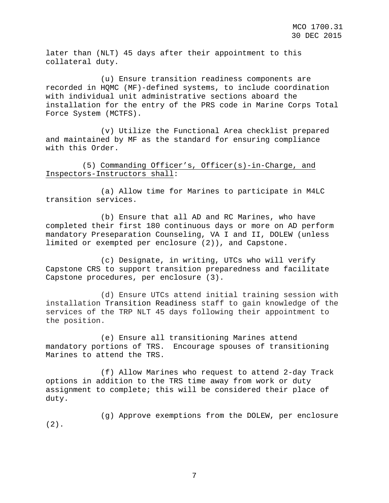later than (NLT) 45 days after their appointment to this collateral duty.

(u) Ensure transition readiness components are recorded in HQMC (MF)-defined systems, to include coordination with individual unit administrative sections aboard the installation for the entry of the PRS code in Marine Corps Total Force System (MCTFS).

(v) Utilize the Functional Area checklist prepared and maintained by MF as the standard for ensuring compliance with this Order.

(5) Commanding Officer's, Officer(s)-in-Charge, and Inspectors-Instructors shall:

(a) Allow time for Marines to participate in M4LC transition services.

(b) Ensure that all AD and RC Marines, who have completed their first 180 continuous days or more on AD perform mandatory Preseparation Counseling, VA I and II, DOLEW (unless limited or exempted per enclosure (2)), and Capstone.

(c) Designate, in writing, UTCs who will verify Capstone CRS to support transition preparedness and facilitate Capstone procedures, per enclosure (3).

(d) Ensure UTCs attend initial training session with installation Transition Readiness staff to gain knowledge of the services of the TRP NLT 45 days following their appointment to the position.

(e) Ensure all transitioning Marines attend mandatory portions of TRS. Encourage spouses of transitioning Marines to attend the TRS.

(f) Allow Marines who request to attend 2-day Track options in addition to the TRS time away from work or duty assignment to complete; this will be considered their place of duty.

 $(2)$ . (g) Approve exemptions from the DOLEW, per enclosure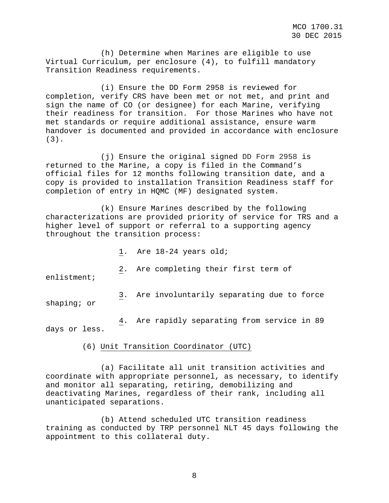(h) Determine when Marines are eligible to use Virtual Curriculum, per enclosure (4), to fulfill mandatory Transition Readiness requirements.

(i) Ensure the DD Form 2958 is reviewed for completion, verify CRS have been met or not met, and print and sign the name of CO (or designee) for each Marine, verifying their readiness for transition. For those Marines who have not met standards or require additional assistance, ensure warm handover is documented and provided in accordance with enclosure (3).

(j) Ensure the original signed DD Form 2958 is returned to the Marine, a copy is filed in the Command's official files for 12 months following transition date, and a copy is provided to installation Transition Readiness staff for completion of entry in HQMC (MF) designated system.

(k) Ensure Marines described by the following characterizations are provided priority of service for TRS and a higher level of support or referral to a supporting agency throughout the transition process:

1. Are 18-24 years old;

2. Are completing their first term of

enlistment;

shaping; or 3. Are involuntarily separating due to force

days or less. 4. Are rapidly separating from service in 89

(6) Unit Transition Coordinator (UTC)

(a) Facilitate all unit transition activities and coordinate with appropriate personnel, as necessary, to identify and monitor all separating, retiring, demobilizing and deactivating Marines, regardless of their rank, including all unanticipated separations.

(b) Attend scheduled UTC transition readiness training as conducted by TRP personnel NLT 45 days following the appointment to this collateral duty.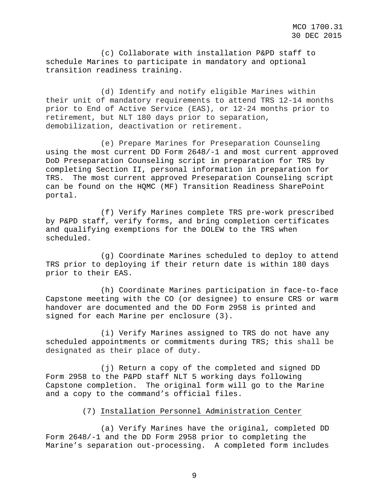(c) Collaborate with installation P&PD staff to schedule Marines to participate in mandatory and optional transition readiness training.

(d) Identify and notify eligible Marines within their unit of mandatory requirements to attend TRS 12-14 months prior to End of Active Service (EAS), or 12-24 months prior to retirement, but NLT 180 days prior to separation, demobilization, deactivation or retirement.

(e) Prepare Marines for Preseparation Counseling using the most current DD Form 2648/-1 and most current approved DoD Preseparation Counseling script in preparation for TRS by completing Section II, personal information in preparation for TRS. The most current approved Preseparation Counseling script can be found on the HQMC (MF) Transition Readiness SharePoint portal.

(f) Verify Marines complete TRS pre-work prescribed by P&PD staff, verify forms, and bring completion certificates and qualifying exemptions for the DOLEW to the TRS when scheduled.

(g) Coordinate Marines scheduled to deploy to attend TRS prior to deploying if their return date is within 180 days prior to their EAS.

(h) Coordinate Marines participation in face-to-face Capstone meeting with the CO (or designee) to ensure CRS or warm handover are documented and the DD Form 2958 is printed and signed for each Marine per enclosure (3).

(i) Verify Marines assigned to TRS do not have any scheduled appointments or commitments during TRS; this shall be designated as their place of duty.

(j) Return a copy of the completed and signed DD Form 2958 to the P&PD staff NLT 5 working days following Capstone completion. The original form will go to the Marine and a copy to the command's official files.

## (7) Installation Personnel Administration Center

(a) Verify Marines have the original, completed DD Form 2648/-1 and the DD Form 2958 prior to completing the Marine's separation out-processing. A completed form includes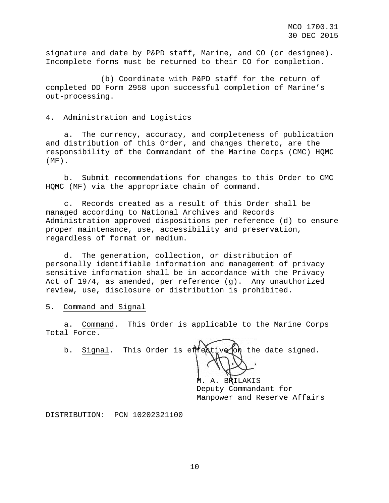signature and date by P&PD staff, Marine, and CO (or designee). Incomplete forms must be returned to their CO for completion.

(b) Coordinate with P&PD staff for the return of completed DD Form 2958 upon successful completion of Marine's out-processing.

## 4. Administration and Logistics

a. The currency, accuracy, and completeness of publication and distribution of this Order, and changes thereto, are the responsibility of the Commandant of the Marine Corps (CMC) HQMC  $(MF)$ .

b. Submit recommendations for changes to this Order to CMC HQMC (MF) via the appropriate chain of command.

c. Records created as a result of this Order shall be managed according to National Archives and Records Administration approved dispositions per reference (d) to ensure proper maintenance, use, accessibility and preservation, regardless of format or medium.

d. The generation, collection, or distribution of personally identifiable information and management of privacy sensitive information shall be in accordance with the Privacy Act of 1974, as amended, per reference (g). Any unauthorized review, use, disclosure or distribution is prohibited.

## 5. Command and Signal

a. Command. This Order is applicable to the Marine Corps Total Force.

b. Signal. This Order is effective on the date signed.

M. A. BRILAKIS Deputy Commandant for Manpower and Reserve Affairs

DISTRIBUTION: PCN 10202321100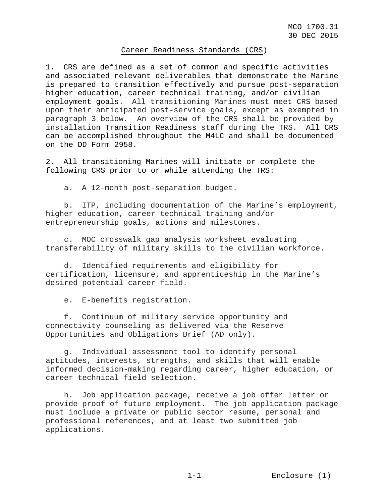### Career Readiness Standards (CRS)

1. CRS are defined as a set of common and specific activities and associated relevant deliverables that demonstrate the Marine is prepared to transition effectively and pursue post-separation higher education, career technical training, and/or civilian employment goals. All transitioning Marines must meet CRS based upon their anticipated post-service goals, except as exempted in paragraph 3 below. An overview of the CRS shall be provided by installation Transition Readiness staff during the TRS. All CRS can be accomplished throughout the M4LC and shall be documented on the DD Form 2958.

2. All transitioning Marines will initiate or complete the following CRS prior to or while attending the TRS:

a. A 12-month post-separation budget.

b. ITP, including documentation of the Marine's employment, higher education, career technical training and/or entrepreneurship goals, actions and milestones.

c. MOC crosswalk gap analysis worksheet evaluating transferability of military skills to the civilian workforce.

d. Identified requirements and eligibility for certification, licensure, and apprenticeship in the Marine's desired potential career field.

e. E-benefits registration.

f. Continuum of military service opportunity and connectivity counseling as delivered via the Reserve Opportunities and Obligations Brief (AD only).

g. Individual assessment tool to identify personal aptitudes, interests, strengths, and skills that will enable informed decision-making regarding career, higher education, or career technical field selection.

h. Job application package, receive a job offer letter or provide proof of future employment. The job application package must include a private or public sector resume, personal and professional references, and at least two submitted job applications.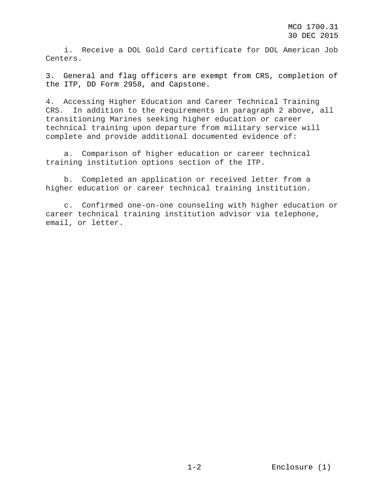i. Receive a DOL Gold Card certificate for DOL American Job Centers.

3. General and flag officers are exempt from CRS, completion of the ITP, DD Form 2958, and Capstone.

4. Accessing Higher Education and Career Technical Training CRS. In addition to the requirements in paragraph 2 above, all transitioning Marines seeking higher education or career technical training upon departure from military service will complete and provide additional documented evidence of:

a. Comparison of higher education or career technical training institution options section of the ITP.

b. Completed an application or received letter from a higher education or career technical training institution.

c. Confirmed one-on-one counseling with higher education or career technical training institution advisor via telephone, email, or letter.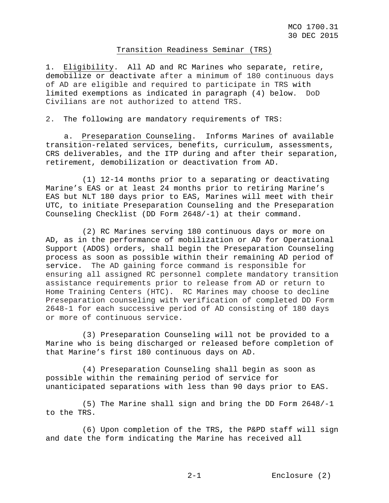#### Transition Readiness Seminar (TRS)

1. Eligibility. All AD and RC Marines who separate, retire, demobilize or deactivate after a minimum of 180 continuous days of AD are eligible and required to participate in TRS with limited exemptions as indicated in paragraph (4) below. DoD Civilians are not authorized to attend TRS.

2. The following are mandatory requirements of TRS:

a. Preseparation Counseling. Informs Marines of available transition-related services, benefits, curriculum, assessments, CRS deliverables, and the ITP during and after their separation, retirement, demobilization or deactivation from AD.

(1) 12-14 months prior to a separating or deactivating Marine's EAS or at least 24 months prior to retiring Marine's EAS but NLT 180 days prior to EAS, Marines will meet with their UTC, to initiate Preseparation Counseling and the Preseparation Counseling Checklist (DD Form 2648/-1) at their command.

(2) RC Marines serving 180 continuous days or more on AD, as in the performance of mobilization or AD for Operational Support (ADOS) orders, shall begin the Preseparation Counseling process as soon as possible within their remaining AD period of service. The AD gaining force command is responsible for ensuring all assigned RC personnel complete mandatory transition assistance requirements prior to release from AD or return to Home Training Centers (HTC). RC Marines may choose to decline Preseparation counseling with verification of completed DD Form 2648-1 for each successive period of AD consisting of 180 days or more of continuous service.

(3) Preseparation Counseling will not be provided to a Marine who is being discharged or released before completion of that Marine's first 180 continuous days on AD.

(4) Preseparation Counseling shall begin as soon as possible within the remaining period of service for unanticipated separations with less than 90 days prior to EAS.

(5) The Marine shall sign and bring the DD Form 2648/-1 to the TRS.

(6) Upon completion of the TRS, the P&PD staff will sign and date the form indicating the Marine has received all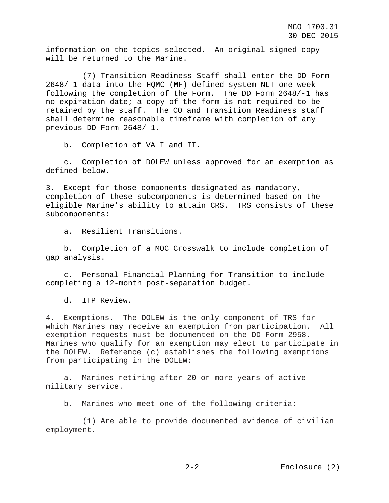information on the topics selected. An original signed copy will be returned to the Marine.

(7) Transition Readiness Staff shall enter the DD Form 2648/-1 data into the HQMC (MF)-defined system NLT one week following the completion of the Form. The DD Form 2648/-1 has no expiration date; a copy of the form is not required to be retained by the staff. The CO and Transition Readiness staff shall determine reasonable timeframe with completion of any previous DD Form 2648/-1.

b. Completion of VA I and II.

c. Completion of DOLEW unless approved for an exemption as defined below.

3. Except for those components designated as mandatory, completion of these subcomponents is determined based on the eligible Marine's ability to attain CRS. TRS consists of these subcomponents:

a. Resilient Transitions.

b. Completion of a MOC Crosswalk to include completion of gap analysis.

c. Personal Financial Planning for Transition to include completing a 12-month post-separation budget.

d. ITP Review.

4. Exemptions. The DOLEW is the only component of TRS for which Marines may receive an exemption from participation. All exemption requests must be documented on the DD Form 2958. Marines who qualify for an exemption may elect to participate in the DOLEW. Reference (c) establishes the following exemptions from participating in the DOLEW:

a. Marines retiring after 20 or more years of active military service.

b. Marines who meet one of the following criteria:

(1) Are able to provide documented evidence of civilian employment.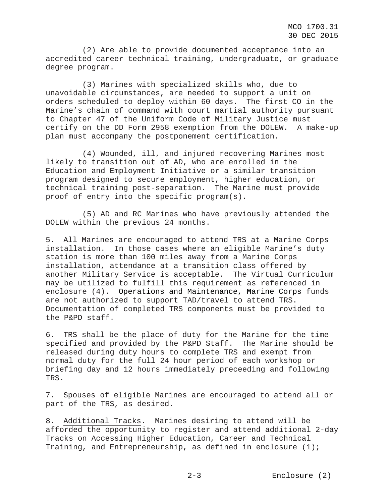(2) Are able to provide documented acceptance into an accredited career technical training, undergraduate, or graduate degree program.

(3) Marines with specialized skills who, due to unavoidable circumstances, are needed to support a unit on orders scheduled to deploy within 60 days. The first CO in the Marine's chain of command with court martial authority pursuant to Chapter 47 of the Uniform Code of Military Justice must certify on the DD Form 2958 exemption from the DOLEW. A make-up plan must accompany the postponement certification.

(4) Wounded, ill, and injured recovering Marines most likely to transition out of AD, who are enrolled in the Education and Employment Initiative or a similar transition program designed to secure employment, higher education, or technical training post-separation. The Marine must provide proof of entry into the specific program(s).

(5) AD and RC Marines who have previously attended the DOLEW within the previous 24 months.

5. All Marines are encouraged to attend TRS at a Marine Corps installation. In those cases where an eligible Marine's duty station is more than 100 miles away from a Marine Corps installation, attendance at a transition class offered by another Military Service is acceptable. The Virtual Curriculum may be utilized to fulfill this requirement as referenced in enclosure (4). Operations and Maintenance, Marine Corps funds are not authorized to support TAD/travel to attend TRS. Documentation of completed TRS components must be provided to the P&PD staff.

6. TRS shall be the place of duty for the Marine for the time specified and provided by the P&PD Staff. The Marine should be released during duty hours to complete TRS and exempt from normal duty for the full 24 hour period of each workshop or briefing day and 12 hours immediately preceeding and following TRS.

7. Spouses of eligible Marines are encouraged to attend all or part of the TRS, as desired.

8. Additional Tracks. Marines desiring to attend will be afforded the opportunity to register and attend additional 2-day Tracks on Accessing Higher Education, Career and Technical Training, and Entrepreneurship, as defined in enclosure (1);

2-3 Enclosure (2)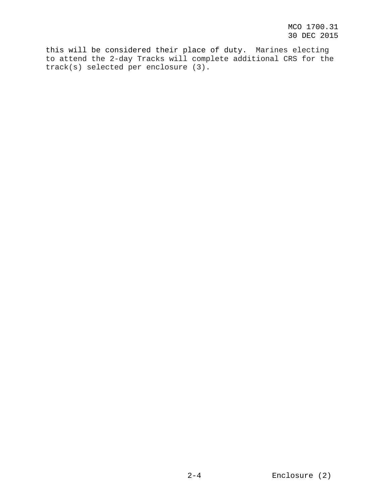this will be considered their place of duty. Marines electing to attend the 2-day Tracks will complete additional CRS for the track(s) selected per enclosure (3).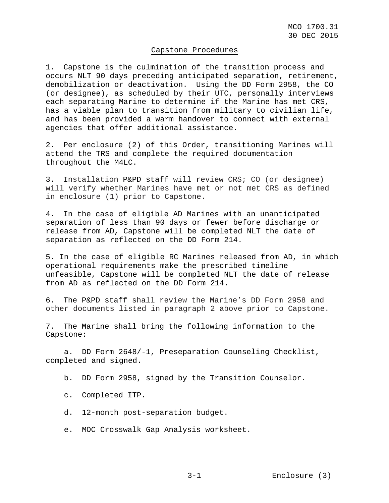## Capstone Procedures

1. Capstone is the culmination of the transition process and occurs NLT 90 days preceding anticipated separation, retirement, demobilization or deactivation. Using the DD Form 2958, the CO (or designee), as scheduled by their UTC, personally interviews each separating Marine to determine if the Marine has met CRS, has a viable plan to transition from military to civilian life, and has been provided a warm handover to connect with external agencies that offer additional assistance.

2. Per enclosure (2) of this Order, transitioning Marines will attend the TRS and complete the required documentation throughout the M4LC.

3. Installation P&PD staff will review CRS; CO (or designee) will verify whether Marines have met or not met CRS as defined in enclosure (1) prior to Capstone.

4. In the case of eligible AD Marines with an unanticipated separation of less than 90 days or fewer before discharge or release from AD, Capstone will be completed NLT the date of separation as reflected on the DD Form 214.

5. In the case of eligible RC Marines released from AD, in which operational requirements make the prescribed timeline unfeasible, Capstone will be completed NLT the date of release from AD as reflected on the DD Form 214.

6. The P&PD staff shall review the Marine's DD Form 2958 and other documents listed in paragraph 2 above prior to Capstone.

7. The Marine shall bring the following information to the Capstone:

a. DD Form 2648/-1, Preseparation Counseling Checklist, completed and signed.

b. DD Form 2958, signed by the Transition Counselor.

c. Completed ITP.

d. 12-month post-separation budget.

e. MOC Crosswalk Gap Analysis worksheet.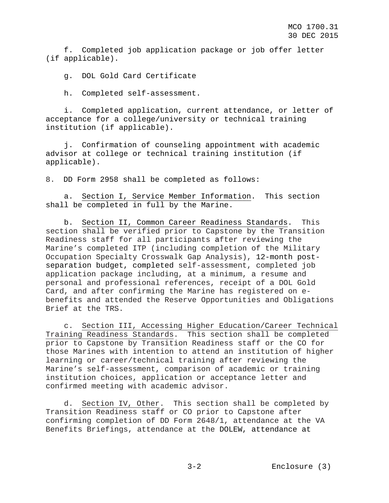f. Completed job application package or job offer letter (if applicable).

g. DOL Gold Card Certificate

h. Completed self-assessment.

i. Completed application, current attendance, or letter of acceptance for a college/university or technical training institution (if applicable).

j. Confirmation of counseling appointment with academic advisor at college or technical training institution (if applicable).

8. DD Form 2958 shall be completed as follows:

a. Section I, Service Member Information. This section shall be completed in full by the Marine.

b. Section II, Common Career Readiness Standards. This section shall be verified prior to Capstone by the Transition Readiness staff for all participants after reviewing the Marine's completed ITP (including completion of the Military Occupation Specialty Crosswalk Gap Analysis), 12-month postseparation budget, completed self-assessment, completed job application package including, at a minimum, a resume and personal and professional references, receipt of a DOL Gold Card, and after confirming the Marine has registered on ebenefits and attended the Reserve Opportunities and Obligations Brief at the TRS.

c. Section III, Accessing Higher Education/Career Technical Training Readiness Standards. This section shall be completed prior to Capstone by Transition Readiness staff or the CO for those Marines with intention to attend an institution of higher learning or career/technical training after reviewing the Marine's self-assessment, comparison of academic or training institution choices, application or acceptance letter and confirmed meeting with academic advisor.

d. Section IV, Other. This section shall be completed by Transition Readiness staff or CO prior to Capstone after confirming completion of DD Form 2648/1, attendance at the VA Benefits Briefings, attendance at the DOLEW, attendance at

3-2 Enclosure (3)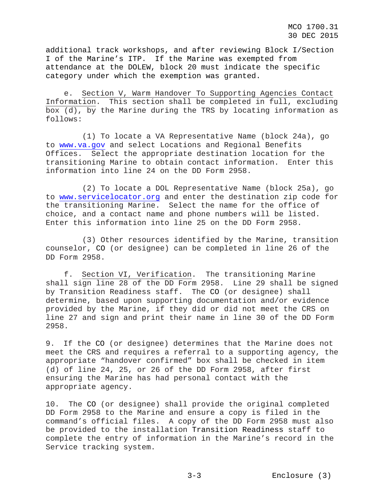MCO 1700.31 30 DEC 2015

additional track workshops, and after reviewing Block I/Section I of the Marine's ITP. If the Marine was exempted from attendance at the DOLEW, block 20 must indicate the specific category under which the exemption was granted.

e. Section V, Warm Handover To Supporting Agencies Contact Information. This section shall be completed in full, excluding box (d), by the Marine during the TRS by locating information as follows:

(1) To locate a VA Representative Name (block 24a), go to [www.va.gov](http://www.va.gov/) and select Locations and Regional Benefits Offices. Select the appropriate destination location for the transitioning Marine to obtain contact information. Enter this information into line 24 on the DD Form 2958.

(2) To locate a DOL Representative Name (block 25a), go to [www.servicelocator.org](http://www.servicelocator.org/) and enter the destination zip code for the transitioning Marine. Select the name for the office of choice, and a contact name and phone numbers will be listed. Enter this information into line 25 on the DD Form 2958.

(3) Other resources identified by the Marine, transition counselor, CO (or designee) can be completed in line 26 of the DD Form 2958.

f. Section VI, Verification. The transitioning Marine shall sign line 28 of the DD Form 2958. Line 29 shall be signed by Transition Readiness staff. The CO (or designee) shall determine, based upon supporting documentation and/or evidence provided by the Marine, if they did or did not meet the CRS on line 27 and sign and print their name in line 30 of the DD Form 2958.

9. If the CO (or designee) determines that the Marine does not meet the CRS and requires a referral to a supporting agency, the appropriate "handover confirmed" box shall be checked in item (d) of line 24, 25, or 26 of the DD Form 2958, after first ensuring the Marine has had personal contact with the appropriate agency.

10. The CO (or designee) shall provide the original completed DD Form 2958 to the Marine and ensure a copy is filed in the command's official files. A copy of the DD Form 2958 must also be provided to the installation Transition Readiness staff to complete the entry of information in the Marine's record in the Service tracking system.

3-3 Enclosure (3)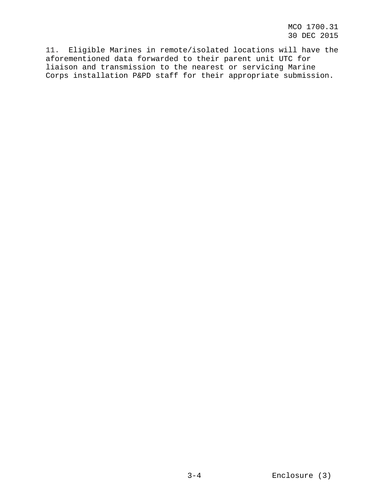MCO 1700.31 30 DEC 2015

11. Eligible Marines in remote/isolated locations will have the aforementioned data forwarded to their parent unit UTC for liaison and transmission to the nearest or servicing Marine Corps installation P&PD staff for their appropriate submission.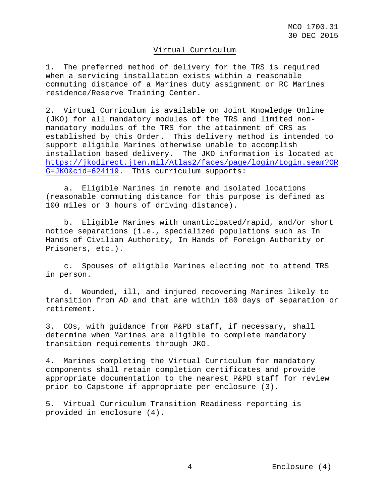### Virtual Curriculum

1. The preferred method of delivery for the TRS is required when a servicing installation exists within a reasonable commuting distance of a Marines duty assignment or RC Marines residence/Reserve Training Center.

2. Virtual Curriculum is available on Joint Knowledge Online (JKO) for all mandatory modules of the TRS and limited nonmandatory modules of the TRS for the attainment of CRS as established by this Order. This delivery method is intended to support eligible Marines otherwise unable to accomplish installation based delivery. The JKO information is located at [https://jkodirect.jten.mil/Atlas2/faces/page/login/Login.seam?OR](https://jkodirect.jten.mil/Atlas2/faces/page/login/Login.seam?ORG=JKO&cid=624119) [G=JKO&cid=624119.](https://jkodirect.jten.mil/Atlas2/faces/page/login/Login.seam?ORG=JKO&cid=624119) This curriculum supports:

a. Eligible Marines in remote and isolated locations (reasonable commuting distance for this purpose is defined as 100 miles or 3 hours of driving distance).

b. Eligible Marines with unanticipated/rapid, and/or short notice separations (i.e., specialized populations such as In Hands of Civilian Authority, In Hands of Foreign Authority or Prisoners, etc.).

c. Spouses of eligible Marines electing not to attend TRS in person.

d. Wounded, ill, and injured recovering Marines likely to transition from AD and that are within 180 days of separation or retirement.

3. COs, with guidance from P&PD staff, if necessary, shall determine when Marines are eligible to complete mandatory transition requirements through JKO.

4. Marines completing the Virtual Curriculum for mandatory components shall retain completion certificates and provide appropriate documentation to the nearest P&PD staff for review prior to Capstone if appropriate per enclosure (3).

5. Virtual Curriculum Transition Readiness reporting is provided in enclosure (4).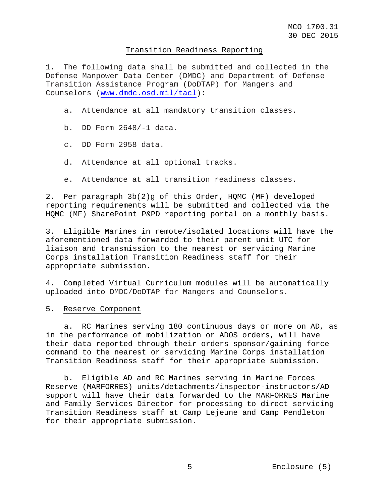## Transition Readiness Reporting

1. The following data shall be submitted and collected in the Defense Manpower Data Center (DMDC) and Department of Defense Transition Assistance Program (DoDTAP) for Mangers and Counselors [\(www.dmdc.osd.mil/tacl\)](http://www.dmdc.osd.mil/tacl):

a. Attendance at all mandatory transition classes.

- b. DD Form 2648/-1 data.
- c. DD Form 2958 data.
- d. Attendance at all optional tracks.
- e. Attendance at all transition readiness classes.

2. Per paragraph 3b(2)g of this Order, HQMC (MF) developed reporting requirements will be submitted and collected via the HQMC (MF) SharePoint P&PD reporting portal on a monthly basis.

3. Eligible Marines in remote/isolated locations will have the aforementioned data forwarded to their parent unit UTC for liaison and transmission to the nearest or servicing Marine Corps installation Transition Readiness staff for their appropriate submission.

4. Completed Virtual Curriculum modules will be automatically uploaded into DMDC/DoDTAP for Mangers and Counselors.

5. Reserve Component

a. RC Marines serving 180 continuous days or more on AD, as in the performance of mobilization or ADOS orders, will have their data reported through their orders sponsor/gaining force command to the nearest or servicing Marine Corps installation Transition Readiness staff for their appropriate submission.

b. Eligible AD and RC Marines serving in Marine Forces Reserve (MARFORRES) units/detachments/inspector-instructors/AD support will have their data forwarded to the MARFORRES Marine and Family Services Director for processing to direct servicing Transition Readiness staff at Camp Lejeune and Camp Pendleton for their appropriate submission.

5 Enclosure (5)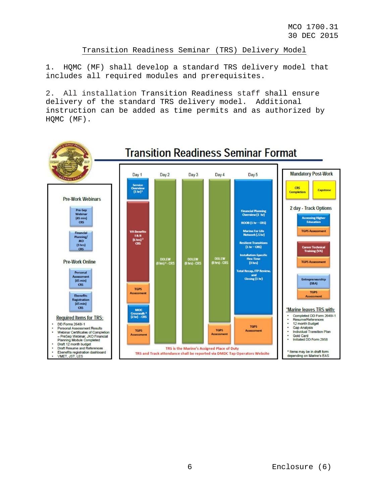Transition Readiness Seminar (TRS) Delivery Model

1. HQMC (MF) shall develop a standard TRS delivery model that includes all required modules and prerequisites.

2. All installation Transition Readiness staff shall ensure delivery of the standard TRS delivery model. Additional instruction can be added as time permits and as authorized by HQMC (MF).

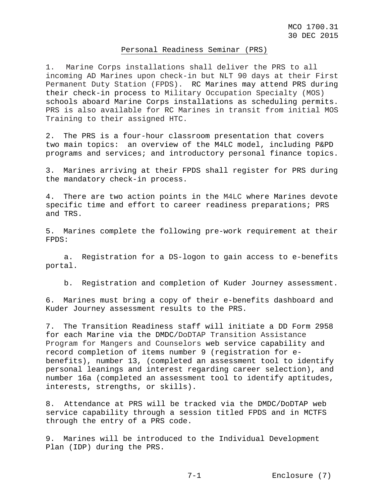#### Personal Readiness Seminar (PRS)

1. Marine Corps installations shall deliver the PRS to all incoming AD Marines upon check-in but NLT 90 days at their First Permanent Duty Station (FPDS). RC Marines may attend PRS during their check-in process to Military Occupation Specialty (MOS) schools aboard Marine Corps installations as scheduling permits. PRS is also available for RC Marines in transit from initial MOS Training to their assigned HTC.

2. The PRS is a four-hour classroom presentation that covers two main topics: an overview of the M4LC model, including P&PD programs and services; and introductory personal finance topics.

3. Marines arriving at their FPDS shall register for PRS during the mandatory check-in process.

4. There are two action points in the M4LC where Marines devote specific time and effort to career readiness preparations; PRS and TRS.

5. Marines complete the following pre-work requirement at their FPDS:

a. Registration for a DS-logon to gain access to e-benefits portal.

b. Registration and completion of Kuder Journey assessment.

6. Marines must bring a copy of their e-benefits dashboard and Kuder Journey assessment results to the PRS.

7. The Transition Readiness staff will initiate a DD Form 2958 for each Marine via the DMDC/DoDTAP Transition Assistance Program for Mangers and Counselors web service capability and record completion of items number 9 (registration for ebenefits), number 13, (completed an assessment tool to identify personal leanings and interest regarding career selection), and number 16a (completed an assessment tool to identify aptitudes, interests, strengths, or skills).

8. Attendance at PRS will be tracked via the DMDC/DoDTAP web service capability through a session titled FPDS and in MCTFS through the entry of a PRS code.

9. Marines will be introduced to the Individual Development Plan (IDP) during the PRS.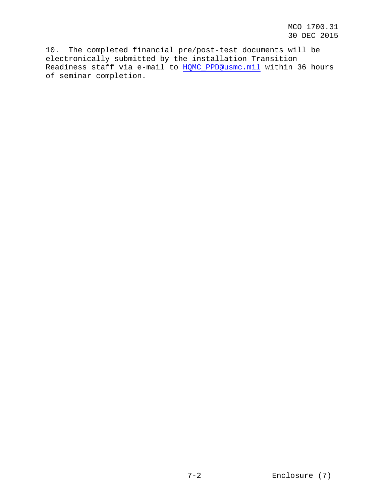MCO 1700.31 30 DEC 2015

10. The completed financial pre/post-test documents will be electronically submitted by the installation Transition Readiness staff via e-mail to [HQMC\\_PPD@usmc.mil](mailto:HQMC_PPD@usmc.mil) within 36 hours of seminar completion.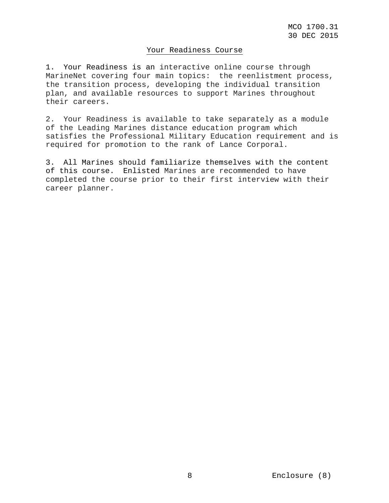## Your Readiness Course

1. Your Readiness is an interactive online course through MarineNet covering four main topics: the reenlistment process, the transition process, developing the individual transition plan, and available resources to support Marines throughout their careers.

2. Your Readiness is available to take separately as a module of the Leading Marines distance education program which satisfies the Professional Military Education requirement and is required for promotion to the rank of Lance Corporal.

3. All Marines should familiarize themselves with the content of this course. Enlisted Marines are recommended to have completed the course prior to their first interview with their career planner.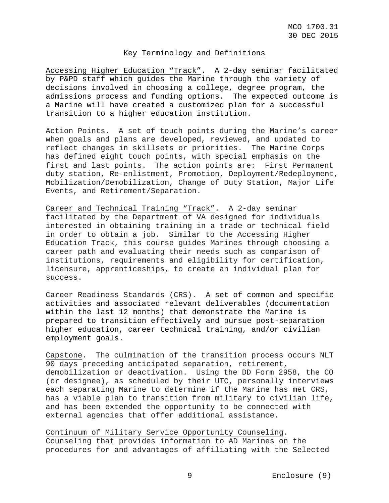## Key Terminology and Definitions

Accessing Higher Education "Track". A 2-day seminar facilitated by P&PD staff which guides the Marine through the variety of decisions involved in choosing a college, degree program, the admissions process and funding options. The expected outcome is a Marine will have created a customized plan for a successful transition to a higher education institution.

Action Points. A set of touch points during the Marine's career when goals and plans are developed, reviewed, and updated to reflect changes in skillsets or priorities. The Marine Corps has defined eight touch points, with special emphasis on the first and last points. The action points are: First Permanent duty station, Re-enlistment, Promotion, Deployment/Redeployment, Mobilization/Demobilization, Change of Duty Station, Major Life Events, and Retirement/Separation.

Career and Technical Training "Track". A 2-day seminar facilitated by the Department of VA designed for individuals interested in obtaining training in a trade or technical field in order to obtain a job. Similar to the Accessing Higher Education Track, this course guides Marines through choosing a career path and evaluating their needs such as comparison of institutions, requirements and eligibility for certification, licensure, apprenticeships, to create an individual plan for success.

Career Readiness Standards (CRS). A set of common and specific activities and associated relevant deliverables (documentation within the last 12 months) that demonstrate the Marine is prepared to transition effectively and pursue post-separation higher education, career technical training, and/or civilian employment goals.

Capstone. The culmination of the transition process occurs NLT 90 days preceding anticipated separation, retirement, demobilization or deactivation. Using the DD Form 2958, the CO (or designee), as scheduled by their UTC, personally interviews each separating Marine to determine if the Marine has met CRS, has a viable plan to transition from military to civilian life, and has been extended the opportunity to be connected with external agencies that offer additional assistance.

Continuum of Military Service Opportunity Counseling. Counseling that provides information to AD Marines on the procedures for and advantages of affiliating with the Selected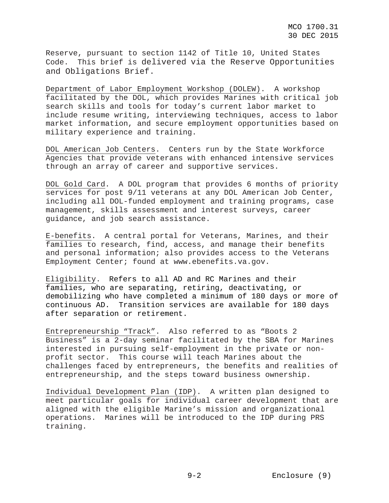Reserve, pursuant to section 1142 of Title 10, United States Code. This brief is delivered via the Reserve Opportunities and Obligations Brief.

Department of Labor Employment Workshop (DOLEW). A workshop facilitated by the DOL, which provides Marines with critical job search skills and tools for today's current labor market to include resume writing, interviewing techniques, access to labor market information, and secure employment opportunities based on military experience and training.

DOL American Job Centers. Centers run by the State Workforce Agencies that provide veterans with enhanced intensive services through an array of career and supportive services.

DOL Gold Card. A DOL program that provides 6 months of priority services for post 9/11 veterans at any DOL American Job Center, including all DOL-funded employment and training programs, case management, skills assessment and interest surveys, career guidance, and job search assistance.

E-benefits. A central portal for Veterans, Marines, and their families to research, find, access, and manage their benefits and personal information; also provides access to the Veteran[s](http://www.ebenefits.va.gov/) [Employment Center; found at www.ebenefits.va.gov.](http://www.ebenefits.va.gov/)

Eligibility. Refers to all AD and RC Marines and their families, who are separating, retiring, deactivating, or demobilizing who have completed a minimum of 180 days or more of continuous AD. Transition services are available for 180 days after separation or retirement.

Entrepreneurship "Track". Also referred to as "Boots 2 Business" is a 2-day seminar facilitated by the SBA for Marines interested in pursuing self-employment in the private or nonprofit sector. This course will teach Marines about the challenges faced by entrepreneurs, the benefits and realities of entrepreneurship, and the steps toward business ownership.

Individual Development Plan (IDP). A written plan designed to meet particular goals for individual career development that are aligned with the eligible Marine's mission and organizational operations. Marines will be introduced to the IDP during PRS training.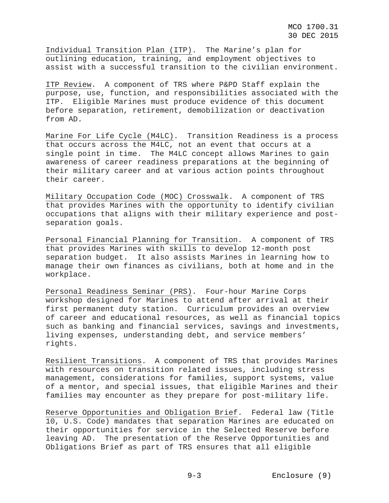Individual Transition Plan (ITP). The Marine's plan for outlining education, training, and employment objectives to assist with a successful transition to the civilian environment.

ITP Review. A component of TRS where P&PD Staff explain the purpose, use, function, and responsibilities associated with the ITP. Eligible Marines must produce evidence of this document before separation, retirement, demobilization or deactivation from AD.

Marine For Life Cycle (M4LC). Transition Readiness is a process that occurs across the M4LC, not an event that occurs at a single point in time. The M4LC concept allows Marines to gain awareness of career readiness preparations at the beginning of their military career and at various action points throughout their career.

Military Occupation Code (MOC) Crosswalk. A component of TRS that provides Marines with the opportunity to identify civilian occupations that aligns with their military experience and postseparation goals.

Personal Financial Planning for Transition. A component of TRS that provides Marines with skills to develop 12-month post separation budget. It also assists Marines in learning how to manage their own finances as civilians, both at home and in the workplace.

Personal Readiness Seminar (PRS). Four-hour Marine Corps workshop designed for Marines to attend after arrival at their first permanent duty station. Curriculum provides an overview of career and educational resources, as well as financial topics such as banking and financial services, savings and investments, living expenses, understanding debt, and service members' rights.

Resilient Transitions. A component of TRS that provides Marines with resources on transition related issues, including stress management, considerations for families, support systems, value of a mentor, and special issues, that eligible Marines and their families may encounter as they prepare for post-military life.

Reserve Opportunities and Obligation Brief. Federal law (Title 10, U.S. Code) mandates that separation Marines are educated on their opportunities for service in the Selected Reserve before leaving AD. The presentation of the Reserve Opportunities and Obligations Brief as part of TRS ensures that all eligible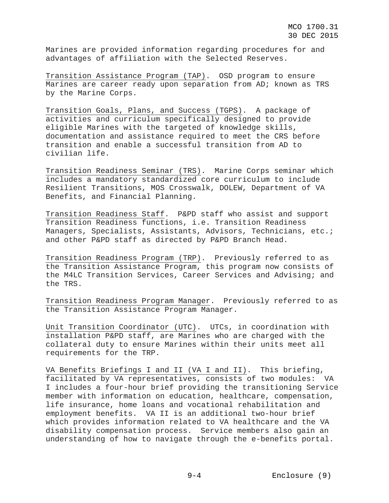Marines are provided information regarding procedures for and advantages of affiliation with the Selected Reserves.

Transition Assistance Program (TAP). OSD program to ensure Marines are career ready upon separation from AD; known as TRS by the Marine Corps.

Transition Goals, Plans, and Success (TGPS). A package of activities and curriculum specifically designed to provide eligible Marines with the targeted of knowledge skills, documentation and assistance required to meet the CRS before transition and enable a successful transition from AD to civilian life.

Transition Readiness Seminar (TRS). Marine Corps seminar which includes a mandatory standardized core curriculum to include Resilient Transitions, MOS Crosswalk, DOLEW, Department of VA Benefits, and Financial Planning.

Transition Readiness Staff. P&PD staff who assist and support Transition Readiness functions, i.e. Transition Readiness Managers, Specialists, Assistants, Advisors, Technicians, etc.; and other P&PD staff as directed by P&PD Branch Head.

Transition Readiness Program (TRP). Previously referred to as the Transition Assistance Program, this program now consists of the M4LC Transition Services, Career Services and Advising; and the TRS.

Transition Readiness Program Manager. Previously referred to as the Transition Assistance Program Manager.

Unit Transition Coordinator (UTC). UTCs, in coordination with installation P&PD staff, are Marines who are charged with the collateral duty to ensure Marines within their units meet all requirements for the TRP.

VA Benefits Briefings I and II (VA I and II). This briefing, facilitated by VA representatives, consists of two modules: VA I includes a four-hour brief providing the transitioning Service member with information on education, healthcare, compensation, life insurance, home loans and vocational rehabilitation and employment benefits. VA II is an additional two-hour brief which provides information related to VA healthcare and the VA disability compensation process. Service members also gain an understanding of how to navigate through the e-benefits portal.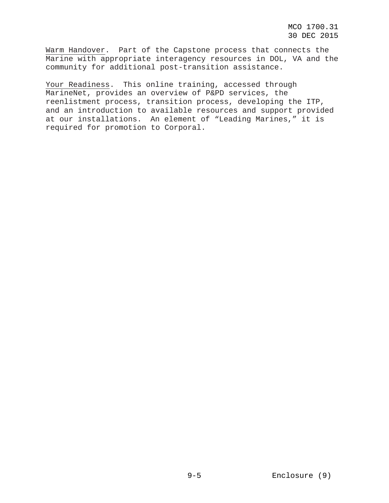Warm Handover. Part of the Capstone process that connects the Marine with appropriate interagency resources in DOL, VA and the community for additional post-transition assistance.

Your Readiness. This online training, accessed through MarineNet, provides an overview of P&PD services, the reenlistment process, transition process, developing the ITP, and an introduction to available resources and support provided at our installations. An element of "Leading Marines," it is required for promotion to Corporal.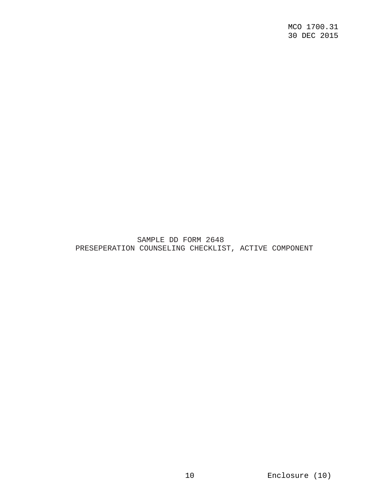SAMPLE DD FORM 2648 PRESEPERATION COUNSELING CHECKLIST, ACTIVE COMPONENT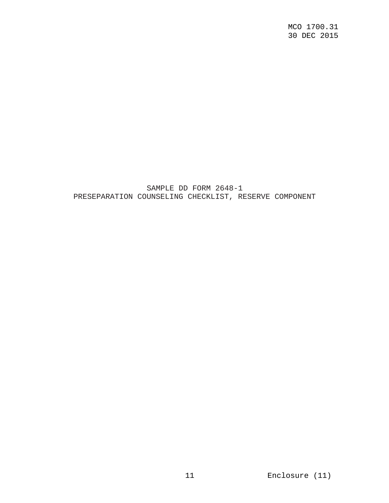SAMPLE DD FORM 2648-1 PRESEPARATION COUNSELING CHECKLIST, RESERVE COMPONENT